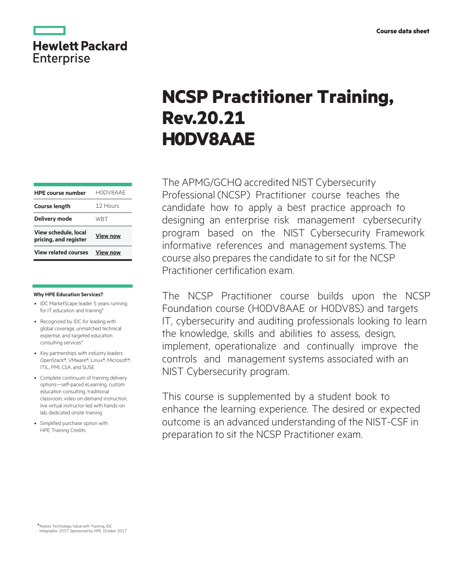

# **NCSP Practitioner Training, Rev.20.21 H0DV8AAE**

The APMG/GCHQ accredited NIST Cybersecurity Professional (NCSP) Practitioner course teaches the candidate how to apply a best practice approach to designing an enterprise risk management cybersecurity program based on the NIST Cybersecurity Framework informative references and management systems. The course also prepares the candidate to sit for the NCSP Practitioner certification exam.

The NCSP Practitioner course builds upon the NCSP Foundation course (H0DV8AAE or H0DV8S) and targets IT, cybersecurity and auditing professionals looking to learn the knowledge, skills and abilities to assess, design, implement, operationalize and continually improve the controls and management systems associated with an NIST Cybersecurity program.

This course is supplemented by a student book to enhance the learning experience. The desired or expected outcome is an advanced understanding of the NIST-CSF in preparation to sit the NCSP Practitioner exam.

| <b>HPE course number</b>                             | HODV8AAE        |
|------------------------------------------------------|-----------------|
| <b>Course length</b>                                 | 12 Hours        |
| <b>Delivery mode</b>                                 | WRT             |
| <b>View schedule, local</b><br>pricing, and register | <b>View now</b> |
| <b>View related courses</b>                          | <b>View now</b> |

#### **Why HPE Education Services?**

- IDC MarketScape leader 5 years running for IT education and training\*
- Recognized by IDC for leading with global coverage, unmatched technical expertise, and targeted education consulting services\*
- Key partnerships with industry leaders OpenStack®, VMware®, Linux®, Microsoft®, ITIL, PMI, CSA, and SUSE
- Complete continuum of training delivery options—self-paced eLearning, custom education consulting, traditional classroom, video on-demand instruction, live virtual instructor-led with hands-on lab, dedicated onsite training
- Simplified purchase option with HPE Training Credits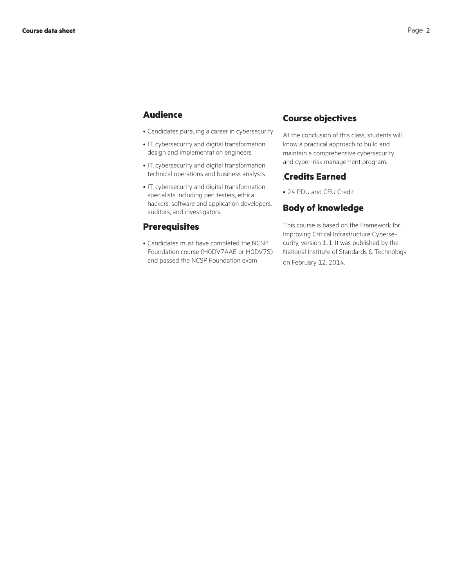# **Audience**

- Candidates pursuing a career in cybersecurity
- IT, cybersecurity and digital transformation design and implementation engineers
- IT, cybersecurity and digital transformation technical operations and business analysts
- IT, cybersecurity and digital transformation specialists including pen testers, ethical hackers, software and application developers, auditors, and investigators.

#### **Prerequisites**

• Candidates must have completed the NCSP Foundation course (H0DV7AAE or H0DV7S) and passed the NCSP Foundation exam

### **Course objectives**

At the conclusion of this class, students will know a practical approach to build and maintain a comprehensive cybersecurity and cyber-risk management program.

#### .**Credits Earned**

• 24 PDU and CEU Credit

#### **Body of knowledge**

This course is based on the Framework for Improving Critical Infrastructure Cybersecurity, version 1.1. It was published by the National Institute of Standards & Technology on February 12, 2014.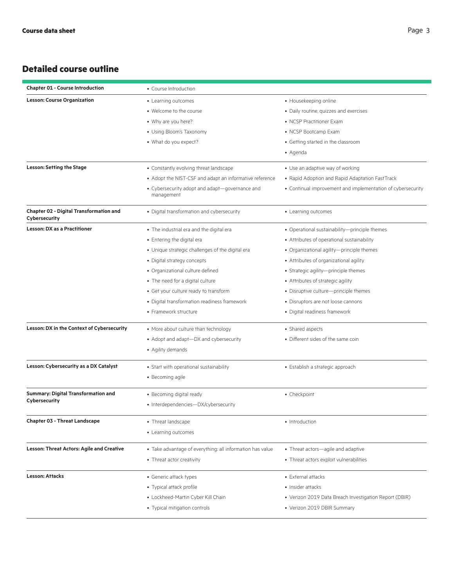# **Detailed course outline**

| <b>Chapter 01 - Course Introduction</b>                         | • Course Introduction                                        |                                                             |
|-----------------------------------------------------------------|--------------------------------------------------------------|-------------------------------------------------------------|
| <b>Lesson: Course Organization</b>                              | • Learning outcomes                                          | • Housekeeping online                                       |
|                                                                 | • Welcome to the course                                      | • Daily routine, quizzes and exercises                      |
|                                                                 | • Why are you here?                                          | • NCSP Practitioner Exam                                    |
|                                                                 | • Using Bloom's Taxonomy                                     | • NCSP Bootcamp Exam                                        |
|                                                                 | • What do you expect?                                        | • Getting started in the classroom                          |
|                                                                 |                                                              | • Agenda                                                    |
| <b>Lesson: Setting the Stage</b>                                | • Constantly evolving threat landscape                       | • Use an adaptive way of working                            |
|                                                                 | • Adopt the NIST-CSF and adapt an informative reference      | • Rapid Adoption and Rapid Adaptation FastTrack             |
|                                                                 | • Cybersecurity adopt and adapt-governance and<br>management | • Continual improvement and implementation of cybersecurity |
| <b>Chapter 02 - Digital Transformation and</b><br>Cybersecurity | • Digital transformation and cybersecurity                   | • Learning outcomes                                         |
| <b>Lesson: DX as a Practitioner</b>                             | • The industrial era and the digital era                     | • Operational sustainability-principle themes               |
|                                                                 | • Entering the digital era                                   | • Attributes of operational sustainability                  |
|                                                                 | • Unique strategic challenges of the digital era             | • Organizational agility-principle themes                   |
|                                                                 | • Digital strategy concepts                                  | • Attributes of organizational agility                      |
|                                                                 | • Organizational culture defined                             | • Strategic agility-principle themes                        |
|                                                                 | • The need for a digital culture                             | • Attributes of strategic agility                           |
|                                                                 | • Get your culture ready to transform                        | • Disruptive culture-principle themes                       |
|                                                                 | · Digital transformation readiness framework                 | • Disruptors are not loose cannons                          |
|                                                                 | • Framework structure                                        | • Digital readiness framework                               |
| Lesson: DX in the Context of Cybersecurity                      | • More about culture than technology                         | • Shared aspects                                            |
|                                                                 | • Adopt and adapt-DX and cybersecurity                       | • Different sides of the same coin                          |
|                                                                 | • Agility demands                                            |                                                             |
| Lesson: Cybersecurity as a DX Catalyst                          | • Start with operational sustainability                      | • Establish a strategic approach                            |
|                                                                 | • Becoming agile                                             |                                                             |
| <b>Summary: Digital Transformation and</b>                      | • Becoming digital ready                                     | • Checkpoint                                                |
| Cybersecurity                                                   | • Interdependencies-DX/cybersecurity                         |                                                             |
| <b>Chapter 03 - Threat Landscape</b>                            | • Threat landscape                                           | • Introduction                                              |
|                                                                 | • Learning outcomes                                          |                                                             |
| <b>Lesson: Threat Actors: Agile and Creative</b>                | • Take advantage of everything: all information has value    | • Threat actors-agile and adaptive                          |
|                                                                 | • Threat actor creativity                                    | • Threat actors exploit vulnerabilities                     |
| <b>Lesson: Attacks</b>                                          | • Generic attack types                                       | • External attacks                                          |
|                                                                 | • Typical attack profile                                     | • Insider attacks                                           |
|                                                                 | • Lockheed-Martin Cyber Kill Chain                           | • Verizon 2019 Data Breach Investigation Report (DBIR)      |
|                                                                 | • Typical mitigation controls                                | • Verizon 2019 DBIR Summary                                 |
|                                                                 |                                                              |                                                             |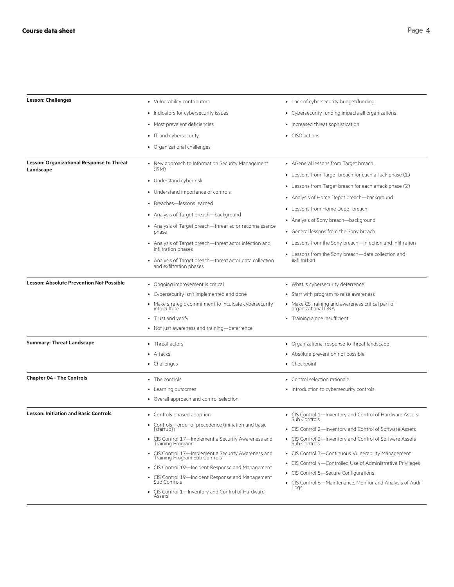| <b>Lesson: Challenges</b>                                     | • Vulnerability contributors                                                         | • Lack of cybersecurity budget/funding                                   |
|---------------------------------------------------------------|--------------------------------------------------------------------------------------|--------------------------------------------------------------------------|
|                                                               | • Indicators for cybersecurity issues                                                | • Cybersecurity funding impacts all organizations                        |
|                                                               | • Most prevalent deficiencies                                                        | • Increased threat sophistication                                        |
|                                                               | • IT and cybersecurity                                                               | • CISO actions                                                           |
|                                                               | • Organizational challenges                                                          |                                                                          |
| <b>Lesson: Organizational Response to Threat</b><br>Landscape | • New approach to Information Security Management<br>(ISM)                           | • AGeneral lessons from Target breach                                    |
|                                                               |                                                                                      | • Lessons from Target breach for each attack phase (1)                   |
|                                                               | • Understand cyber risk                                                              | • Lessons from Target breach for each attack phase (2)                   |
|                                                               | • Understand importance of controls                                                  | • Analysis of Home Depot breach-background                               |
|                                                               | • Breaches-lessons learned                                                           | • Lessons from Home Depot breach                                         |
|                                                               | • Analysis of Target breach-background                                               | • Analysis of Sony breach-background                                     |
|                                                               | • Analysis of Target breach—threat actor reconnaissance<br>phase                     | • General lessons from the Sony breach                                   |
|                                                               | • Analysis of Target breach-threat actor infection and                               | • Lessons from the Sony breach—infection and infiltration                |
|                                                               | infiltration phases                                                                  | • Lessons from the Sony breach-data collection and                       |
|                                                               | • Analysis of Target breach-threat actor data collection<br>and exfiltration phases  | exfiltration                                                             |
| <b>Lesson: Absolute Prevention Not Possible</b>               | • Ongoing improvement is critical                                                    | • What is cybersecurity deterrence                                       |
|                                                               | • Cybersecurity isn't implemented and done                                           | • Start with program to raise awareness                                  |
|                                                               | • Make strategic commitment to inculcate cybersecurity<br>into culture               | • Make CS training and awareness critical part of<br>organizational DNA  |
|                                                               | • Trust and verify                                                                   | • Training alone insufficient                                            |
|                                                               | • Not just awareness and training—deterrence                                         |                                                                          |
| <b>Summary: Threat Landscape</b>                              | • Threat actors                                                                      | • Organizational response to threat landscape                            |
|                                                               | • Attacks                                                                            | • Absolute prevention not possible                                       |
|                                                               | • Challenges                                                                         | • Checkpoint                                                             |
| <b>Chapter 04 - The Controls</b>                              | • The controls                                                                       | • Control selection rationale                                            |
|                                                               | • Learning outcomes                                                                  | • Introduction to cybersecurity controls                                 |
|                                                               | • Overall approach and control selection                                             |                                                                          |
| <b>Lesson: Initiation and Basic Controls</b>                  | • Controls phased adoption                                                           | • CIS Control 1-Inventory and Control of Hardware Assets<br>Sub Controls |
|                                                               | • Controls-order of precedence (initiation and basic<br>[startup])                   | • CIS Control 2-Inventory and Control of Software Assets                 |
|                                                               | • CIS Control 17—Implement a Security Awareness and<br>Training Program              | • CIS Control 2—Inventory and Control of Software Assets<br>Sub Controls |
|                                                               | • CIS Control 17—Implement a Security Awareness and<br>Training Program Sub Controls | • CIS Control 3-Continuous Vulnerability Management                      |
|                                                               | • CIS Control 19-Incident Response and Management                                    | • CIS Control 4-Controlled Use of Administrative Privileges              |
|                                                               | • CIS Control 19-Incident Response and Management                                    | • CIS Control 5-Secure Configurations                                    |
|                                                               | Sub Controls                                                                         | • CIS Control 6-Maintenance, Monitor and Analysis of Audit<br>Logs       |
|                                                               | • CIS Control 1-Inventory and Control of Hardware<br>Assets                          |                                                                          |
|                                                               |                                                                                      |                                                                          |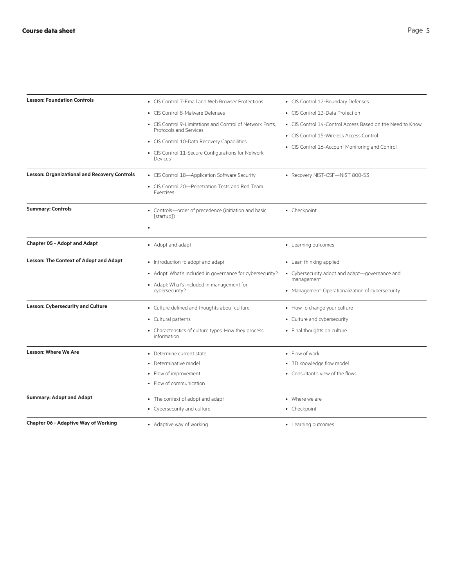| <b>Lesson: Foundation Controls</b>                  | • CIS Control 7-Email and Web Browser Protections                                   | • CIS Control 12-Boundary Defenses                              |
|-----------------------------------------------------|-------------------------------------------------------------------------------------|-----------------------------------------------------------------|
|                                                     | • CIS Control 8-Malware Defenses                                                    | • CIS Control 13-Data Protection                                |
|                                                     | • CIS Control 9-Limitations and Control of Network Ports.<br>Protocols and Services | • CIS Control 14-Control Access Based on the Need to Know       |
|                                                     | • CIS Control 10-Data Recovery Capabilities                                         | • CIS Control 15-Wireless Access Control                        |
|                                                     | • CIS Control 11-Secure Configurations for Network                                  | • CIS Control 16-Account Monitoring and Control                 |
|                                                     | Devices                                                                             |                                                                 |
| <b>Lesson: Organizational and Recovery Controls</b> | • CIS Control 18-Application Software Security                                      | • Recovery NIST-CSF-NIST 800-53                                 |
|                                                     | • CIS Control 20-Penetration Tests and Red Team<br>Exercises                        |                                                                 |
| <b>Summary: Controls</b>                            | • Controls-order of precedence (initiation and basic<br>[startup])                  | • Checkpoint                                                    |
|                                                     |                                                                                     |                                                                 |
| <b>Chapter 05 - Adopt and Adapt</b>                 | • Adopt and adapt                                                                   | • Learning outcomes                                             |
| <b>Lesson: The Context of Adopt and Adapt</b>       | • Introduction to adopt and adapt                                                   | • Lean thinking applied                                         |
|                                                     | • Adopt: What's included in governance for cybersecurity?                           | • Cybersecurity adopt and adapt-governance and                  |
|                                                     | • Adapt: What's included in management for<br>cybersecurity?                        | management<br>• Management: Operationalization of cybersecurity |
| <b>Lesson: Cybersecurity and Culture</b>            | • Culture defined and thoughts about culture                                        | • How to change your culture                                    |
|                                                     | • Cultural patterns                                                                 | • Culture and cybersecurity                                     |
|                                                     | • Characteristics of culture types: How they process<br>information                 | • Final thoughts on culture                                     |
| <b>Lesson: Where We Are</b>                         | • Determine current state                                                           | • Flow of work                                                  |
|                                                     | • Determinative model                                                               | • 3D knowledge flow model                                       |
|                                                     | • Flow of improvement                                                               | • Consultant's view of the flows                                |
|                                                     | • Flow of communication                                                             |                                                                 |
| <b>Summary: Adopt and Adapt</b>                     | • The context of adopt and adapt                                                    | • Where we are                                                  |
|                                                     | • Cybersecurity and culture                                                         | • Checkpoint                                                    |
| <b>Chapter 06 - Adaptive Way of Working</b>         | • Adaptive way of working                                                           | • Learning outcomes                                             |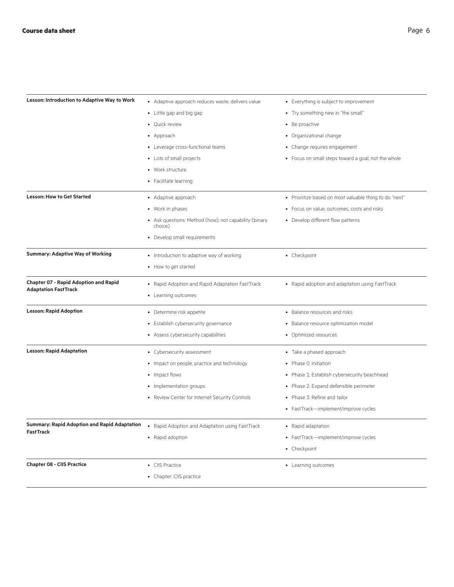| <b>Lesson: Introduction to Adaptive Way to Work</b>                         | • Adaptive approach reduces waste, delivers value                      | • Everything is subject to improvement                 |
|-----------------------------------------------------------------------------|------------------------------------------------------------------------|--------------------------------------------------------|
|                                                                             | • Little gap and big gap                                               | • Try something new in "the small"                     |
|                                                                             | • Quick review                                                         | • Be proactive                                         |
|                                                                             | • Approach                                                             | • Organizational change                                |
|                                                                             | • Leverage cross-functional teams                                      | • Change requires engagement                           |
|                                                                             | • Lots of small projects                                               | • Focus on small steps toward a goal, not the whole    |
|                                                                             | • Work structure                                                       |                                                        |
|                                                                             | • Facilitate learning                                                  |                                                        |
| <b>Lesson: How to Get Started</b>                                           | • Adaptive approach                                                    | • Prioritize based on most valuable thing to do "next" |
|                                                                             | • Work in phases                                                       | • Focus on value, outcomes, costs and risks            |
|                                                                             | • Ask questions: Method (how), not capability (binary<br>choice)       | • Develop different flow patterns                      |
|                                                                             | • Develop small requirements                                           |                                                        |
| <b>Summary: Adaptive Way of Working</b>                                     | • Introduction to adaptive way of working                              | • Checkpoint                                           |
|                                                                             | • How to get started                                                   |                                                        |
| <b>Chapter 07 - Rapid Adoption and Rapid</b><br><b>Adaptation FastTrack</b> | • Rapid Adoption and Rapid Adaptation FastTrack<br>• Learning outcomes | • Rapid adoption and adaptation using FastTrack        |
| <b>Lesson: Rapid Adoption</b>                                               | • Determine risk appetite                                              | • Balance resources and risks                          |
|                                                                             | • Establish cybersecurity governance                                   | • Balance resource optimization model                  |
|                                                                             | • Assess cybersecurity capabilities                                    | • Optimized resources                                  |
| <b>Lesson: Rapid Adaptation</b>                                             | • Cybersecurity assessment                                             | • Take a phased approach                               |
|                                                                             | • Impact on people, practice and technology                            | • Phase O: Initiation                                  |
|                                                                             | • Impact flows                                                         | • Phase 1: Establish cybersecurity beachhead           |
|                                                                             | • Implementation groups                                                | • Phase 2: Expand defensible perimeter                 |
|                                                                             | • Review Center for Internet Security Controls                         | • Phase 3: Refine and tailor                           |
|                                                                             |                                                                        | • FastTrack-implement/improve cycles                   |
| <b>Summary: Rapid Adoption and Rapid Adaptation</b><br><b>FastTrack</b>     | • Rapid Adoption and Adaptation using FastTrack                        | • Rapid adaptation                                     |
|                                                                             | • Rapid adoption                                                       | • FastTrack-implement/improve cycles                   |
|                                                                             |                                                                        | • Checkpoint                                           |
| <b>Chapter 08 - CIIS Practice</b>                                           | • CIIS Practice                                                        | • Learning outcomes                                    |
|                                                                             | • Chapter: CIIS practice                                               |                                                        |